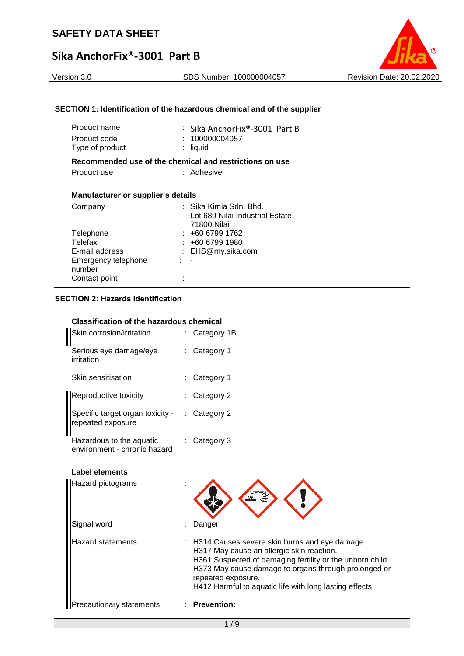#### Version 3.0 SDS Number: 100000004057 Revision Date: 20.02.2020

### **SECTION 1: Identification of the hazardous chemical and of the supplier**

| Product name<br>Product code<br>Type of product         | : Sika AnchorFix®-3001 Part B<br>: 100000004057<br>: liquid |
|---------------------------------------------------------|-------------------------------------------------------------|
| Recommended use of the chemical and restrictions on use |                                                             |
| Product use                                             | : Adhesive                                                  |
| <b>Manufacturer or supplier's details</b>               |                                                             |
| Company                                                 | ∶  Sika Kimia Sdn. Bhd.                                     |
|                                                         | Lot 689 Nilai Industrial Estate<br>71800 Nilai              |
| Telephone                                               | : +60 6799 1762                                             |
| Telefax                                                 | : +60 6799 1980                                             |
| E-mail address                                          | : EHS@my.sika.com                                           |

: -

: EHS@my.sika.com

#### **SECTION 2: Hazards identification**

Contact point :

Emergency telephone

number

#### **Classification of the hazardous chemical**

| Skin corrosion/irritation                                | : Category 1B           |
|----------------------------------------------------------|-------------------------|
| Serious eye damage/eye<br>irritation                     | : Category 1            |
| Skin sensitisation                                       | : Category 1            |
| Reproductive toxicity                                    | $:$ Category 2          |
| Specific target organ toxicity -<br>repeated exposure    | $\therefore$ Category 2 |
| Hazardous to the aquatic<br>environment - chronic hazard | $:$ Category 3          |

#### **Label elements**

| Hazard pictograms               |                                                                                                                                                                                                                                                                                                    |
|---------------------------------|----------------------------------------------------------------------------------------------------------------------------------------------------------------------------------------------------------------------------------------------------------------------------------------------------|
| Signal word                     | Danger                                                                                                                                                                                                                                                                                             |
| <b>Hazard statements</b>        | : H314 Causes severe skin burns and eye damage.<br>H317 May cause an allergic skin reaction.<br>H361 Suspected of damaging fertility or the unborn child.<br>H373 May cause damage to organs through prolonged or<br>repeated exposure.<br>H412 Harmful to aquatic life with long lasting effects. |
| <b>Precautionary statements</b> | <b>Prevention:</b>                                                                                                                                                                                                                                                                                 |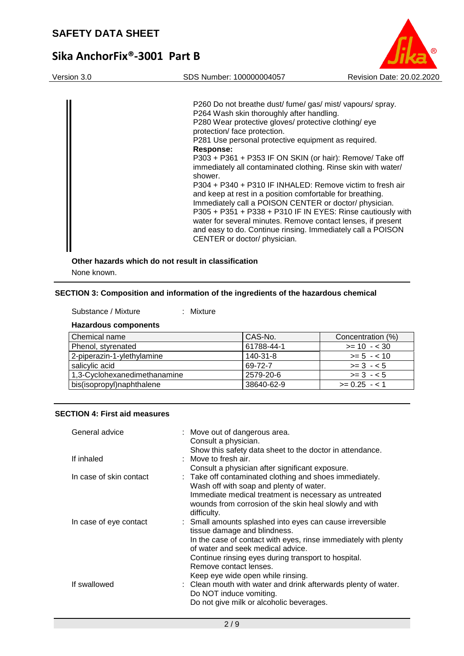# **Sika AnchorFix®-3001 Part B**

Version 3.0 SDS Number: 100000004057 Revision Date: 20.02.2020

P260 Do not breathe dust/ fume/ gas/ mist/ vapours/ spray. P264 Wash skin thoroughly after handling. P280 Wear protective gloves/ protective clothing/ eye protection/ face protection. P281 Use personal protective equipment as required. **Response:**  P303 + P361 + P353 IF ON SKIN (or hair): Remove/ Take off immediately all contaminated clothing. Rinse skin with water/ shower. P304 + P340 + P310 IF INHALED: Remove victim to fresh air and keep at rest in a position comfortable for breathing. Immediately call a POISON CENTER or doctor/ physician. P305 + P351 + P338 + P310 IF IN EYES: Rinse cautiously with water for several minutes. Remove contact lenses, if present and easy to do. Continue rinsing. Immediately call a POISON CENTER or doctor/ physician.

### **Other hazards which do not result in classification** None known.

#### **SECTION 3: Composition and information of the ingredients of the hazardous chemical**

| Substance / Mixture         | : Mixture |
|-----------------------------|-----------|
| <b>Hazardous components</b> |           |

| Chemical name                | CAS-No.    | Concentration (%) |
|------------------------------|------------|-------------------|
| Phenol, styrenated           | 61788-44-1 | $>= 10 - 30$      |
| 2-piperazin-1-ylethylamine   | 140-31-8   | $>= 5 - 10$       |
| salicylic acid               | 69-72-7    | $>= 3 - 5$        |
| 1,3-Cyclohexanedimethanamine | 2579-20-6  | $>= 3 - 5$        |
| bis(isopropyl)naphthalene    | 38640-62-9 | $>= 0.25 - 1$     |

#### **SECTION 4: First aid measures**

| General advice          | : Move out of dangerous area.<br>Consult a physician.                                                                                                                                                                                                                                   |
|-------------------------|-----------------------------------------------------------------------------------------------------------------------------------------------------------------------------------------------------------------------------------------------------------------------------------------|
| If inhaled              | Show this safety data sheet to the doctor in attendance.<br>: Move to fresh air.                                                                                                                                                                                                        |
| In case of skin contact | Consult a physician after significant exposure.<br>: Take off contaminated clothing and shoes immediately.<br>Wash off with soap and plenty of water.<br>Immediate medical treatment is necessary as untreated<br>wounds from corrosion of the skin heal slowly and with<br>difficulty. |
| In case of eye contact  | : Small amounts splashed into eyes can cause irreversible<br>tissue damage and blindness.<br>In the case of contact with eyes, rinse immediately with plenty<br>of water and seek medical advice.                                                                                       |
| If swallowed            | Continue rinsing eyes during transport to hospital.<br>Remove contact lenses.<br>Keep eye wide open while rinsing.<br>: Clean mouth with water and drink afterwards plenty of water.<br>Do NOT induce vomiting.<br>Do not give milk or alcoholic beverages.                             |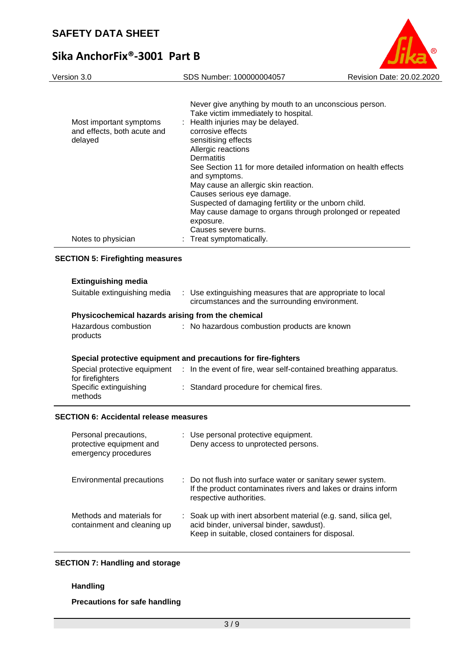# **Sika AnchorFix®-3001 Part B**



#### **SECTION 5: Firefighting measures**

| <b>Extinguishing media</b><br>Suitable extinguishing media     | : Use extinguishing measures that are appropriate to local<br>circumstances and the surrounding environment. |  |  |  |
|----------------------------------------------------------------|--------------------------------------------------------------------------------------------------------------|--|--|--|
| Physicochemical hazards arising from the chemical              |                                                                                                              |  |  |  |
| Hazardous combustion<br>products                               | : No hazardous combustion products are known                                                                 |  |  |  |
| Special protective equipment and precautions for fire-fighters |                                                                                                              |  |  |  |
| for firefighters                                               | Special protective equipment : In the event of fire, wear self-contained breathing apparatus.                |  |  |  |
| Specific extinguishing<br>methods                              | : Standard procedure for chemical fires.                                                                     |  |  |  |

#### **SECTION 6: Accidental release measures**

| Personal precautions,<br>protective equipment and<br>emergency procedures | : Use personal protective equipment.<br>Deny access to unprotected persons.                                                                                      |
|---------------------------------------------------------------------------|------------------------------------------------------------------------------------------------------------------------------------------------------------------|
| Environmental precautions                                                 | : Do not flush into surface water or sanitary sewer system.<br>If the product contaminates rivers and lakes or drains inform<br>respective authorities.          |
| Methods and materials for<br>containment and cleaning up                  | : Soak up with inert absorbent material (e.g. sand, silica gel,<br>acid binder, universal binder, sawdust).<br>Keep in suitable, closed containers for disposal. |

#### **SECTION 7: Handling and storage**

#### **Handling**

**Precautions for safe handling**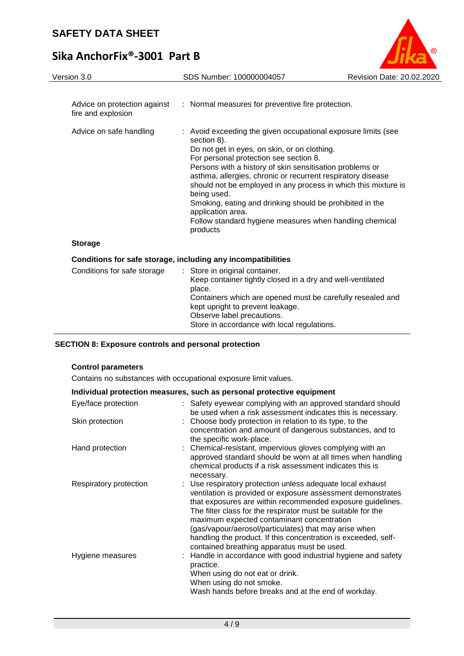

Store in accordance with local regulations.

## **SECTION 8: Exposure controls and personal protection**

## **Control parameters**

Contains no substances with occupational exposure limit values.

| Individual protection measures, such as personal protective equipment |                                                                                                                                                                                                                                                                                                                                                                                                                                                                                 |  |  |  |
|-----------------------------------------------------------------------|---------------------------------------------------------------------------------------------------------------------------------------------------------------------------------------------------------------------------------------------------------------------------------------------------------------------------------------------------------------------------------------------------------------------------------------------------------------------------------|--|--|--|
| Eye/face protection                                                   | : Safety eyewear complying with an approved standard should<br>be used when a risk assessment indicates this is necessary.                                                                                                                                                                                                                                                                                                                                                      |  |  |  |
| Skin protection                                                       | : Choose body protection in relation to its type, to the<br>concentration and amount of dangerous substances, and to<br>the specific work-place.                                                                                                                                                                                                                                                                                                                                |  |  |  |
| Hand protection                                                       | : Chemical-resistant, impervious gloves complying with an<br>approved standard should be worn at all times when handling<br>chemical products if a risk assessment indicates this is<br>necessary.                                                                                                                                                                                                                                                                              |  |  |  |
| Respiratory protection                                                | : Use respiratory protection unless adequate local exhaust<br>ventilation is provided or exposure assessment demonstrates<br>that exposures are within recommended exposure guidelines.<br>The filter class for the respirator must be suitable for the<br>maximum expected contaminant concentration<br>(gas/vapour/aerosol/particulates) that may arise when<br>handling the product. If this concentration is exceeded, self-<br>contained breathing apparatus must be used. |  |  |  |
| Hygiene measures                                                      | : Handle in accordance with good industrial hygiene and safety<br>practice.<br>When using do not eat or drink.<br>When using do not smoke.<br>Wash hands before breaks and at the end of workday.                                                                                                                                                                                                                                                                               |  |  |  |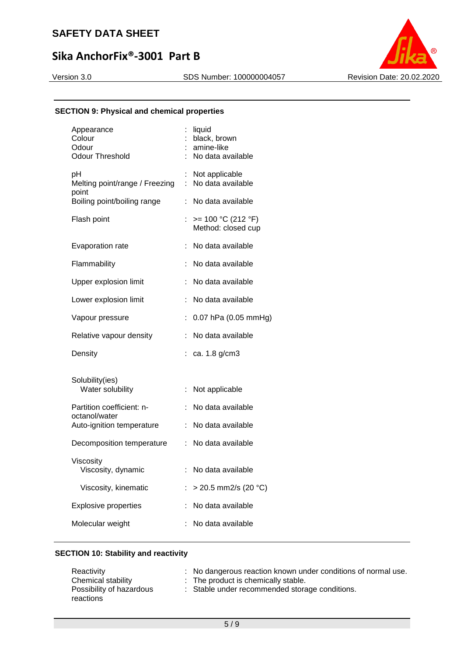# **Sika AnchorFix®-3001 Part B**

Version 3.0 SDS Number: 100000004057 Revision Date: 20.02.2020



## **SECTION 9: Physical and chemical properties**

| Appearance<br>Colour<br>Odour<br><b>Odour Threshold</b> |                           | liquid<br>black, brown<br>amine-like<br>No data available |
|---------------------------------------------------------|---------------------------|-----------------------------------------------------------|
| pH<br>Melting point/range / Freezing<br>point           | $\mathbb{Z}^{\mathbb{Z}}$ | : Not applicable<br>No data available                     |
| Boiling point/boiling range                             |                           | : No data available                                       |
| Flash point                                             |                           | : $> = 100 °C (212 °F)$<br>Method: closed cup             |
| Evaporation rate                                        |                           | No data available                                         |
| Flammability                                            |                           | No data available                                         |
| Upper explosion limit                                   |                           | No data available                                         |
| Lower explosion limit                                   |                           | No data available                                         |
| Vapour pressure                                         |                           | $: 0.07$ hPa (0.05 mmHg)                                  |
| Relative vapour density                                 |                           | : No data available                                       |
| Density                                                 |                           | : ca. 1.8 $g/cm3$                                         |
| Solubility(ies)<br>Water solubility                     |                           | : Not applicable                                          |
| Partition coefficient: n-                               |                           | : No data available                                       |
| octanol/water<br>Auto-ignition temperature              |                           | : No data available                                       |
| Decomposition temperature                               |                           | : No data available                                       |
| Viscosity<br>Viscosity, dynamic                         |                           | No data available                                         |
| Viscosity, kinematic                                    |                           | $>$ 20.5 mm2/s (20 °C)                                    |
| <b>Explosive properties</b>                             |                           | No data available                                         |
| Molecular weight                                        |                           | No data available                                         |
|                                                         |                           |                                                           |

#### **SECTION 10: Stability and reactivity**

| Reactivity                            | : No dangerous reaction known under conditions of normal use. |
|---------------------------------------|---------------------------------------------------------------|
| Chemical stability                    | $\therefore$ The product is chemically stable.                |
| Possibility of hazardous<br>reactions | : Stable under recommended storage conditions.                |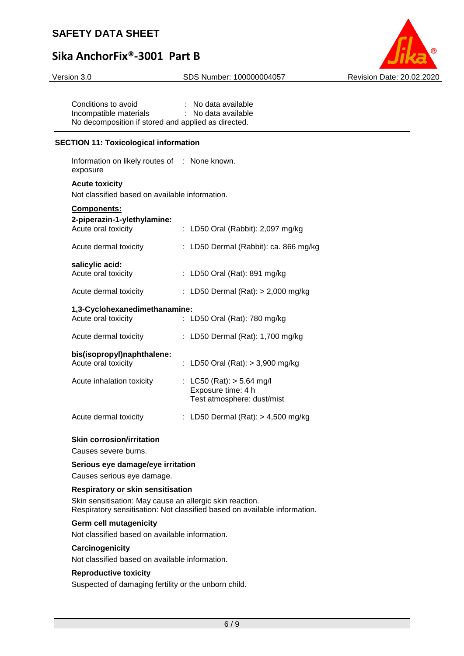

Version 3.0 SDS Number: 100000004057 Revision Date: 20.02.2020

Conditions to avoid : No data available Incompatible materials : No data available No decomposition if stored and applied as directed.

#### **SECTION 11: Toxicological information**

Information on likely routes of : None known. exposure

#### **Acute toxicity**

Not classified based on available information.

## **Components:**

| 2-piperazin-1-ylethylamine:<br>Acute oral toxicity   | : LD50 Oral (Rabbit): $2,097$ mg/kg                                             |
|------------------------------------------------------|---------------------------------------------------------------------------------|
| Acute dermal toxicity                                | : LD50 Dermal (Rabbit): ca. 866 mg/kg                                           |
| salicylic acid:<br>Acute oral toxicity               | : LD50 Oral (Rat): 891 mg/kg                                                    |
| Acute dermal toxicity                                | : LD50 Dermal (Rat): $>$ 2,000 mg/kg                                            |
| 1,3-Cyclohexanedimethanamine:<br>Acute oral toxicity | : LD50 Oral (Rat): 780 mg/kg                                                    |
| Acute dermal toxicity                                | : LD50 Dermal (Rat): 1,700 mg/kg                                                |
| bis(isopropyl)naphthalene:<br>Acute oral toxicity    | : LD50 Oral (Rat): $>$ 3,900 mg/kg                                              |
| Acute inhalation toxicity                            | : LC50 (Rat): $>$ 5.64 mg/l<br>Exposure time: 4 h<br>Test atmosphere: dust/mist |
| Acute dermal toxicity                                | : LD50 Dermal (Rat): $> 4,500$ mg/kg                                            |

#### **Skin corrosion/irritation**

Causes severe burns.

#### **Serious eye damage/eye irritation**

Causes serious eye damage.

#### **Respiratory or skin sensitisation**

Skin sensitisation: May cause an allergic skin reaction. Respiratory sensitisation: Not classified based on available information.

#### **Germ cell mutagenicity**

Not classified based on available information.

#### **Carcinogenicity**

Not classified based on available information.

#### **Reproductive toxicity**

Suspected of damaging fertility or the unborn child.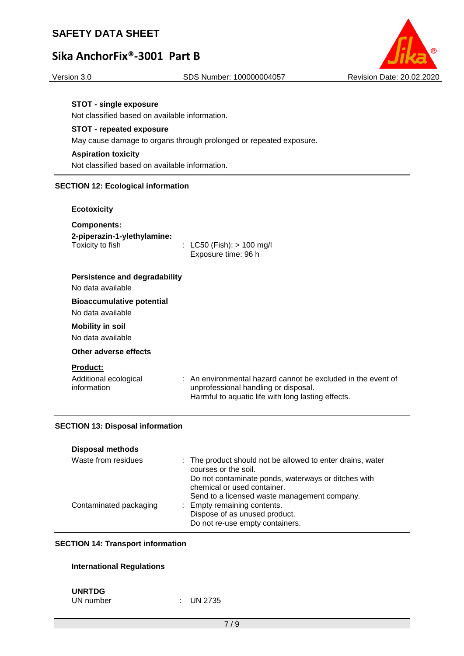# **Sika AnchorFix®-3001 Part B**



#### **STOT - single exposure**

Not classified based on available information.

### **STOT - repeated exposure**

May cause damage to organs through prolonged or repeated exposure.

## **Aspiration toxicity**

Not classified based on available information.

#### **SECTION 12: Ecological information**

#### **Ecotoxicity**

| <b>Components:</b><br>2-piperazin-1-ylethylamine:<br>Toxicity to fish | : LC50 (Fish): $> 100$ mg/l<br>Exposure time: 96 h |
|-----------------------------------------------------------------------|----------------------------------------------------|
| Persistence and degradability<br>No data available                    |                                                    |
| <b>Bioaccumulative potential</b>                                      |                                                    |
| No data available                                                     |                                                    |
| <b>Mobility in soil</b>                                               |                                                    |

No data available

## **Other adverse effects**

**Product:**

| Additional ecological | : An environmental hazard cannot be excluded in the event of |
|-----------------------|--------------------------------------------------------------|
| information           | unprofessional handling or disposal.                         |
|                       | Harmful to aquatic life with long lasting effects.           |

#### **SECTION 13: Disposal information**

| <b>Disposal methods</b> |                                                                                    |
|-------------------------|------------------------------------------------------------------------------------|
| Waste from residues     | : The product should not be allowed to enter drains, water<br>courses or the soil. |
|                         | Do not contaminate ponds, waterways or ditches with<br>chemical or used container. |
|                         | Send to a licensed waste management company.                                       |
| Contaminated packaging  | : Empty remaining contents.                                                        |
|                         | Dispose of as unused product.                                                      |
|                         | Do not re-use empty containers.                                                    |

#### **SECTION 14: Transport information**

### **International Regulations**

## **UNRTDG**

UN number : UN 2735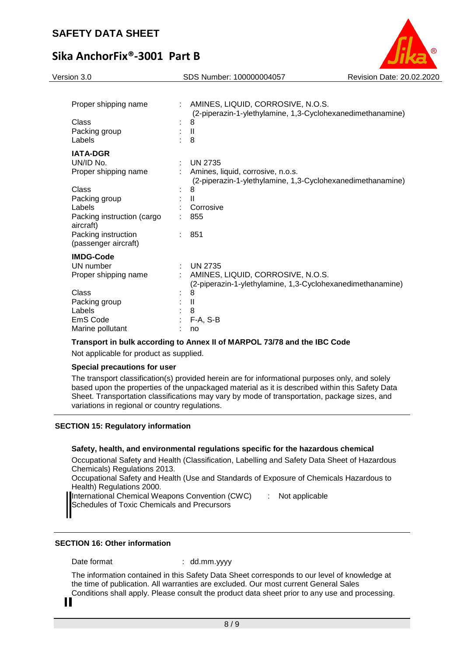

| Proper shipping name<br>Class<br>Packing group<br>Labels |   | AMINES, LIQUID, CORROSIVE, N.O.S.<br>(2-piperazin-1-ylethylamine, 1,3-Cyclohexanedimethanamine)<br>8<br>H<br>8    |
|----------------------------------------------------------|---|-------------------------------------------------------------------------------------------------------------------|
| <b>IATA-DGR</b>                                          |   |                                                                                                                   |
| UN/ID No.<br>Proper shipping name                        | ÷ | <b>UN 2735</b><br>Amines, liquid, corrosive, n.o.s.<br>(2-piperazin-1-ylethylamine, 1,3-Cyclohexanedimethanamine) |
| Class                                                    |   | 8                                                                                                                 |
| Packing group                                            |   | $\mathbf{H}$                                                                                                      |
| Labels                                                   |   | Corrosive                                                                                                         |
| Packing instruction (cargo<br>aircraft)                  |   | 855                                                                                                               |
| Packing instruction<br>(passenger aircraft)              |   | 851                                                                                                               |
| <b>IMDG-Code</b>                                         |   |                                                                                                                   |
| UN number                                                |   | <b>UN 2735</b>                                                                                                    |
| Proper shipping name                                     |   | AMINES, LIQUID, CORROSIVE, N.O.S.<br>(2-piperazin-1-ylethylamine, 1,3-Cyclohexanedimethanamine)                   |
| Class                                                    |   | 8                                                                                                                 |
| Packing group                                            |   | $\mathbf{I}$                                                                                                      |
| Labels                                                   |   | 8                                                                                                                 |
| EmS Code                                                 |   | $F-A, S-B$                                                                                                        |
| Marine pollutant                                         |   | no                                                                                                                |

#### **Transport in bulk according to Annex II of MARPOL 73/78 and the IBC Code**

Not applicable for product as supplied.

#### **Special precautions for user**

The transport classification(s) provided herein are for informational purposes only, and solely based upon the properties of the unpackaged material as it is described within this Safety Data Sheet. Transportation classifications may vary by mode of transportation, package sizes, and variations in regional or country regulations.

#### **SECTION 15: Regulatory information**

#### **Safety, health, and environmental regulations specific for the hazardous chemical**

Occupational Safety and Health (Classification, Labelling and Safety Data Sheet of Hazardous Chemicals) Regulations 2013.

Occupational Safety and Health (Use and Standards of Exposure of Chemicals Hazardous to Health) Regulations 2000.

International Chemical Weapons Convention (CWC)

Schedules of Toxic Chemicals and Precursors

: Not applicable

## **SECTION 16: Other information**

Date format : dd.mm.yyyy

The information contained in this Safety Data Sheet corresponds to our level of knowledge at the time of publication. All warranties are excluded. Our most current General Sales

Conditions shall apply. Please consult the product data sheet prior to any use and processing.